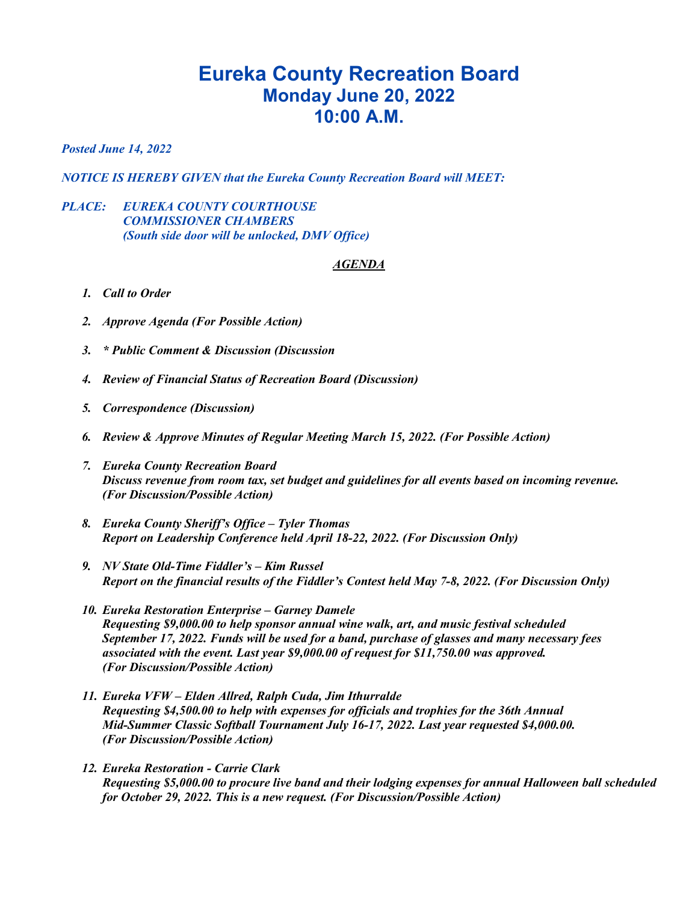## **Eureka County Recreation Board Monday June 20, 2022 10:00 A.M.**

*Posted June 14, 2022*

*NOTICE IS HEREBY GIVEN that the Eureka County Recreation Board will MEET:*

## *PLACE: EUREKA COUNTY COURTHOUSE COMMISSIONER CHAMBERS (South side door will be unlocked, DMV Office)*

## *AGENDA*

- *1. Call to Order*
- *2. Approve Agenda (For Possible Action)*
- *3. \* Public Comment & Discussion (Discussion*
- *4. Review of Financial Status of Recreation Board (Discussion)*
- *5. Correspondence (Discussion)*
- *6. Review & Approve Minutes of Regular Meeting March 15, 2022. (For Possible Action)*
- *7. Eureka County Recreation Board Discuss revenue from room tax, set budget and guidelines for all events based on incoming revenue. (For Discussion/Possible Action)*
- *8. Eureka County Sheriff's Office – Tyler Thomas Report on Leadership Conference held April 18-22, 2022. (For Discussion Only)*
- *9. NV State Old-Time Fiddler's – Kim Russel Report on the financial results of the Fiddler's Contest held May 7-8, 2022. (For Discussion Only)*
- *10. Eureka Restoration Enterprise – Garney Damele Requesting \$9,000.00 to help sponsor annual wine walk, art, and music festival scheduled September 17, 2022. Funds will be used for a band, purchase of glasses and many necessary fees associated with the event. Last year \$9,000.00 of request for \$11,750.00 was approved. (For Discussion/Possible Action)*
- *11. Eureka VFW – Elden Allred, Ralph Cuda, Jim Ithurralde Requesting \$4,500.00 to help with expenses for officials and trophies for the 36th Annual Mid-Summer Classic Softball Tournament July 16-17, 2022. Last year requested \$4,000.00. (For Discussion/Possible Action)*
- *12. Eureka Restoration - Carrie Clark Requesting \$5,000.00 to procure live band and their lodging expenses for annual Halloween ball scheduled for October 29, 2022. This is a new request. (For Discussion/Possible Action)*